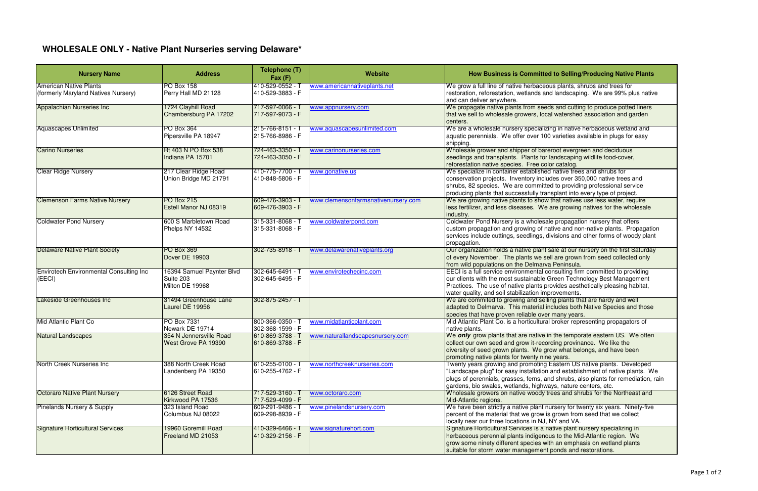| <b>Nursery Name</b>                                                  | <b>Address</b>                                            | Telephone (T)<br>Fax(F)              | <b>Website</b>                      | How Business is Committed to Selling/Producing Native Plants                                                                                                                                                                                                                                                   |
|----------------------------------------------------------------------|-----------------------------------------------------------|--------------------------------------|-------------------------------------|----------------------------------------------------------------------------------------------------------------------------------------------------------------------------------------------------------------------------------------------------------------------------------------------------------------|
| <b>American Native Plants</b><br>(formerly Maryland Natives Nursery) | <b>PO Box 158</b><br>Perry Hall MD 21128                  | 410-529-0552 - T<br>410-529-3883 - F | www.americannativeplants.net        | We grow a full line of native herbaceous plants, shrubs and trees for<br>restoration, reforestation, wetlands and landscaping. We are 99% plus native<br>and can deliver anywhere.                                                                                                                             |
| Appalachian Nurseries Inc                                            | 1724 Clayhill Road<br>Chambersburg PA 17202               | 717-597-0066 - T<br>717-597-9073 - F | www.appnursery.com                  | We propagate native plants from seeds and cutting to produce potted liners<br>that we sell to wholesale growers, local watershed association and garden<br>centers.                                                                                                                                            |
| <b>Aquascapes Unlimited</b>                                          | PO Box 364<br>Pipersville PA 18947                        | 215-766-8151 - T<br>215-766-8986 - F | www.aquascapesunlimited.com         | We are a wholesale nursery specializing in native herbaceous wetland and<br>aquatic perennials. We offer over 100 varieties available in plugs for easy<br>shipping.                                                                                                                                           |
| <b>Carino Nurseries</b>                                              | Rt 403 N PO Box 538<br>Indiana PA 15701                   | 724-463-3350 - 7<br>724-463-3050 - F | www.carinonurseries.com             | Wholesale grower and shipper of bareroot evergreen and deciduous<br>seedlings and transplants. Plants for landscaping wildlife food-cover,<br>reforestation native species. Free color catalog.                                                                                                                |
| <b>Clear Ridge Nursery</b>                                           | 217 Clear Ridge Road<br>Union Bridge MD 21791             | 410-775-7700 - 1<br>410-848-5806 - F | www.gonative.us                     | We specialize in container established native trees and shrubs for<br>conservation projects. Inventory includes over 350,000 native trees and<br>shrubs, 82 species. We are committed to providing professional service<br>producing plants that successfully transplant into every type of project.           |
| <b>Clemenson Farms Native Nursery</b>                                | PO Box 215<br>Estell Manor NJ 08319                       | 609-476-3903 - T<br>609-476-3903 - F | www.clemensonfarmsnativenursery.com | We are growing native plants to show that natives use less water, require<br>less fertilizer, and less diseases. We are growing natives for the wholesale<br>industry.                                                                                                                                         |
| <b>Coldwater Pond Nursery</b>                                        | 600 S Marbletown Road<br>Phelps NY 14532                  | 315-331-8068 -<br>315-331-8068 - F   | www.coldwaterpond.com               | Coldwater Pond Nursery is a wholesale propagation nursery that offers<br>custom propagation and growing of native and non-native plants. Propagation<br>services include cuttings, seedlings, divisions and other forms of woody plant<br>propagation.                                                         |
| <b>Delaware Native Plant Society</b>                                 | <b>PO Box 369</b><br>Dover DE 19903                       | 302-735-8918 - T                     | www.delawarenativeplants.org        | Our organization holds a native plant sale at our nursery on the first Saturday<br>of every November. The plants we sell are grown from seed collected only<br>from wild populations on the Delmarva Peninsula.                                                                                                |
| <b>Envirotech Environmental Consulting Inc</b><br>(EECI)             | 16394 Samuel Paynter Blvd<br>Suite 203<br>Milton DE 19968 | 302-645-6491 -<br>302-645-6495 - F   | www.envirotechecinc.com             | EECI is a full service environmental consulting firm committed to providing<br>our clients with the most sustainable Green Technology Best Management<br>Practices. The use of native plants provides aesthetically pleasing habitat,<br>water quality, and soil stabilization improvements.                   |
| Lakeside Greenhouses Inc                                             | 31494 Greenhouse Lane<br>Laurel DE 19956                  | 302-875-2457 - T                     |                                     | We are commited to growing and selling plants that are hardy and well<br>adapted to Delmarva. This material includes both Native Species and those<br>species that have proven reliable over many years.                                                                                                       |
| Mid Atlantic Plant Co                                                | PO Box 7331<br>Newark DE 19714                            | 800-366-0350 -<br>302-368-1599 - F   | www.midatlanticplant.com            | Mid Atlantic Plant Co. is a horticultural broker representing propagators of<br>native plants.                                                                                                                                                                                                                 |
| <b>Natural Landscapes</b>                                            | 354 N Jennersville Road<br>West Grove PA 19390            | 610-869-3788 - T<br>610-869-3788 - F | www.naturallandscapesnursery.com    | We only grow plants that are native in the temporate eastern US. We often<br>collect our own seed and grow it-recording provinance. We like the<br>diversity of seed grown plants. We grow what belongs, and have been<br>promoting native plants for twenty nine years.                                       |
| North Creek Nurseries Inc                                            | 388 North Creek Road<br>Landenberg PA 19350               | 610-255-0100 - T<br>610-255-4762 - F | www.northcreeknurseries.com         | Twenty years growing and promoting Eastern US native plants. Developed<br>"Landscape plug" for easy installation and establishment of native plants. We<br>plugs of perennials, grasses, ferns, and shrubs, also plants for remediation, rain<br>gardens, bio swales, wetlands, highways, nature centers, etc. |
| Octoraro Native Plant Nursery                                        | 6126 Street Road<br>Kirkwood PA 17536                     | 717-529-3160 - T<br>717-529-4099 - F | www.octoraro.com                    | Wholesale growers on native woody trees and shrubs for the Northeast and<br>Mid-Atlantic regions.                                                                                                                                                                                                              |
| <b>Pinelands Nursery &amp; Supply</b>                                | 323 Island Road<br>Columbus NJ 08022                      | 609-291-9486 - T<br>609-298-8939 - F | www.pinelandsnursery.com            | We have been strictly a native plant nursery for twenty six years. Ninety-five<br>percent of the material that we grow is grown from seed that we collect<br>locally near our three locations in NJ, NY and VA.                                                                                                |
| Signature Horticultural Services                                     | 19960 Goremill Road<br>Freeland MD 21053                  | 410-329-6466 - T<br>410-329-2156 - F | www.signaturehort.com               | Signature Horticultural Services is a native plant nursery specializing in<br>herbaceous perennial plants indigenous to the Mid-Atlantic region. We<br>grow some ninety different species with an emphasis on wetland plants<br>suitable for storm water management ponds and restorations.                    |

## **WHOLESALE ONLY - Native Plant Nurseries serving Delaware\***